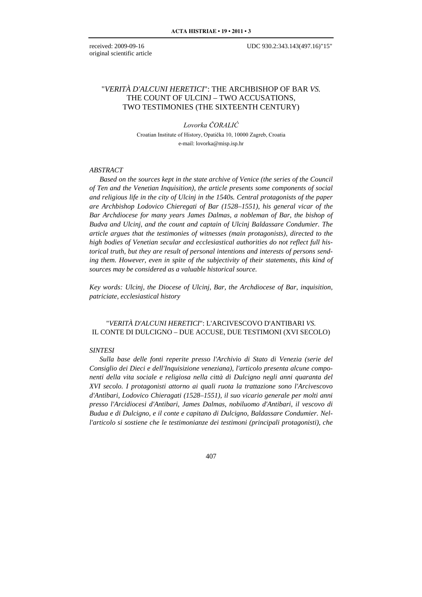original scientific article

# "*VERITÀ D'ALCUNI HERETICI*": THE ARCHBISHOP OF BAR *VS.* THE COUNT OF ULCINJ – TWO ACCUSATIONS, TWO TESTIMONIES (THE SIXTEENTH CENTURY)

### *Lovorka ČORALIĆ*

Croatian Institute of History, Opatička 10, 10000 Zagreb, Croatia e-mail: lovorka@misp.isp.hr

### *ABSTRACT*

*Based on the sources kept in the state archive of Venice (the series of the Council of Ten and the Venetian Inquisition), the article presents some components of social and religious life in the city of Ulcinj in the 1540s. Central protagonists of the paper are Archbishop Lodovico Chieregati of Bar (1528–1551), his general vicar of the Bar Archdiocese for many years James Dalmas, a nobleman of Bar, the bishop of Budva and Ulcinj, and the count and captain of Ulcinj Baldassare Condumier. The article argues that the testimonies of witnesses (main protagonists), directed to the high bodies of Venetian secular and ecclesiastical authorities do not reflect full historical truth, but they are result of personal intentions and interests of persons sending them. However, even in spite of the subjectivity of their statements, this kind of sources may be considered as a valuable historical source.*

*Key words: Ulcinj, the Diocese of Ulcinj, Bar, the Archdiocese of Bar, inquisition, patriciate, ecclesiastical history*

# "*VERITÀ D'ALCUNI HERETICI*": L'ARCIVESCOVO D'ANTIBARI *VS.* IL CONTE DI DULCIGNO – DUE ACCUSE, DUE TESTIMONI (XVI SECOLO)

#### *SINTESI*

*Sulla base delle fonti reperite presso l'Archivio di Stato di Venezia (serie del Consiglio dei Dieci e dell'Inquisizione veneziana), l'articolo presenta alcune componenti della vita sociale e religiosa nella città di Dulcigno negli anni quaranta del XVI secolo. I protagonisti attorno ai quali ruota la trattazione sono l'Arcivescovo d'Antibari, Lodovico Chieragati (1528–1551), il suo vicario generale per molti anni presso l'Arcidiocesi d'Antibari, James Dalmas, nobiluomo d'Antibari, il vescovo di Budua e di Dulcigno, e il conte e capitano di Dulcigno, Baldassare Condumier. Nell'articolo si sostiene che le testimonianze dei testimoni (principali protagonisti), che*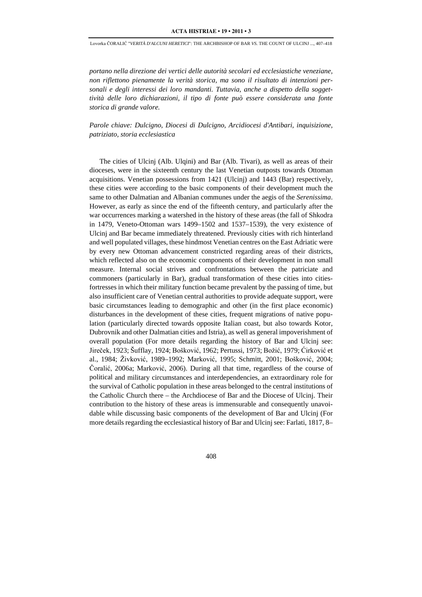*portano nella direzione dei vertici delle autorità secolari ed ecclesiastiche veneziane, non riflettono pienamente la verità storica, ma sono il risultato di intenzioni personali e degli interessi dei loro mandanti. Tuttavia, anche a dispetto della soggettività delle loro dichiarazioni, il tipo di fonte può essere considerata una fonte storica di grande valore.*

*Parole chiave: Dulcigno, Diocesi di Dulcigno, Arcidiocesi d'Antibari, inquisizione, patriziato, storia ecclesiastica*

The cities of Ulcinj (Alb. Ulqini) and Bar (Alb. Tivari), as well as areas of their dioceses, were in the sixteenth century the last Venetian outposts towards Ottoman acquisitions. Venetian possessions from 1421 (Ulcinj) and 1443 (Bar) respectively, these cities were according to the basic components of their development much the same to other Dalmatian and Albanian communes under the aegis of the *Serenissima*. However, as early as since the end of the fifteenth century, and particularly after the war occurrences marking a watershed in the history of these areas (the fall of Shkodra in 1479, Veneto-Ottoman wars 1499–1502 and 1537–1539), the very existence of Ulcinj and Bar became immediately threatened. Previously cities with rich hinterland and well populated villages, these hindmost Venetian centres on the East Adriatic were by every new Ottoman advancement constricted regarding areas of their districts, which reflected also on the economic components of their development in non small measure. Internal social strives and confrontations between the patriciate and commoners (particularly in Bar), gradual transformation of these cities into citiesfortresses in which their military function became prevalent by the passing of time, but also insufficient care of Venetian central authorities to provide adequate support, were basic circumstances leading to demographic and other (in the first place economic) disturbances in the development of these cities, frequent migrations of native population (particularly directed towards opposite Italian coast, but also towards Kotor, Dubrovnik and other Dalmatian cities and Istria), as well as general impoverishment of overall population (For more details regarding the history of Bar and Ulcinj see: Jireček, 1923; Šufflay, 1924; Bošković, 1962; Pertussi, 1973; Božić, 1979; Ćirković et al., 1984; Živković, 1989–1992; Marković, 1995; Schmitt, 2001; Bošković, 2004; Čoralić, 2006a; Marković, 2006). During all that time, regardless of the course of political and military circumstances and interdependencies, an extraordinary role for the survival of Catholic population in these areas belonged to the central institutions of the Catholic Church there – the Archdiocese of Bar and the Diocese of Ulcinj. Their contribution to the history of these areas is immensurable and consequently unavoidable while discussing basic components of the development of Bar and Ulcinj (For more details regarding the ecclesiastical history of Bar and Ulcinj see: Farlati, 1817, 8–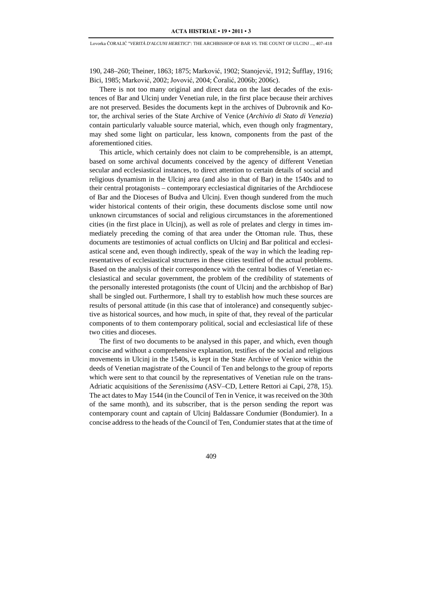190, 248–260; Theiner, 1863; 1875; Marković, 1902; Stanojević, 1912; Šufflay, 1916; Bici, 1985; Marković, 2002; Jovović, 2004; Čoralić, 2006b; 2006c).

There is not too many original and direct data on the last decades of the existences of Bar and Ulcinj under Venetian rule, in the first place because their archives are not preserved. Besides the documents kept in the archives of Dubrovnik and Kotor, the archival series of the State Archive of Venice (*Archivio di Stato di Venezia*) contain particularly valuable source material, which, even though only fragmentary, may shed some light on particular, less known, components from the past of the aforementioned cities.

This article, which certainly does not claim to be comprehensible, is an attempt, based on some archival documents conceived by the agency of different Venetian secular and ecclesiastical instances, to direct attention to certain details of social and religious dynamism in the Ulcinj area (and also in that of Bar) in the 1540s and to their central protagonists – contemporary ecclesiastical dignitaries of the Archdiocese of Bar and the Dioceses of Budva and Ulcinj. Even though sundered from the much wider historical contents of their origin, these documents disclose some until now unknown circumstances of social and religious circumstances in the aforementioned cities (in the first place in Ulcinj), as well as role of prelates and clergy in times immediately preceding the coming of that area under the Ottoman rule. Thus, these documents are testimonies of actual conflicts on Ulcinj and Bar political and ecclesiastical scene and, even though indirectly, speak of the way in which the leading representatives of ecclesiastical structures in these cities testified of the actual problems. Based on the analysis of their correspondence with the central bodies of Venetian ecclesiastical and secular government, the problem of the credibility of statements of the personally interested protagonists (the count of Ulcinj and the archbishop of Bar) shall be singled out. Furthermore, I shall try to establish how much these sources are results of personal attitude (in this case that of intolerance) and consequently subjective as historical sources, and how much, in spite of that, they reveal of the particular components of to them contemporary political, social and ecclesiastical life of these two cities and dioceses.

The first of two documents to be analysed in this paper, and which, even though concise and without a comprehensive explanation, testifies of the social and religious movements in Ulcinj in the 1540s, is kept in the State Archive of Venice within the deeds of Venetian magistrate of the Council of Ten and belongs to the group of reports which were sent to that council by the representatives of Venetian rule on the trans-Adriatic acquisitions of the *Serenissima* (ASV–CD, Lettere Rettori ai Capi, 278, 15). The act dates to May 1544 (in the Council of Ten in Venice, it was received on the 30th of the same month), and its subscriber, that is the person sending the report was contemporary count and captain of Ulcinj Baldassare Condumier (Bondumier). In a concise address to the heads of the Council of Ten, Condumier states that at the time of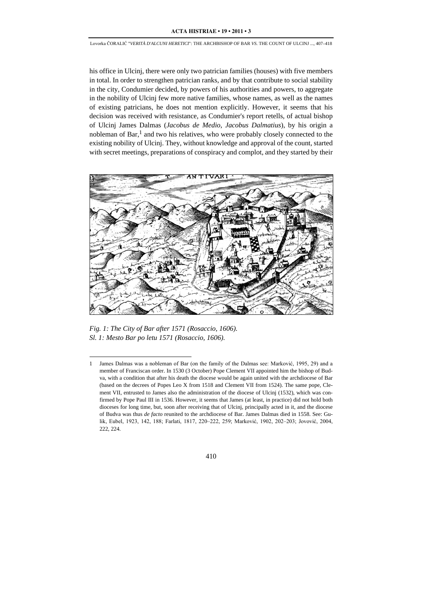his office in Ulcinj, there were only two patrician families (houses) with five members in total. In order to strengthen patrician ranks, and by that contribute to social stability in the city, Condumier decided, by powers of his authorities and powers, to aggregate in the nobility of Ulcinj few more native families, whose names, as well as the names of existing patricians, he does not mention explicitly. However, it seems that his decision was received with resistance, as Condumier's report retells, of actual bishop of Ulcinj James Dalmas (*Jacobus de Medio*, *Jacobus Dalmatius*), by his origin a nobleman of Bar, $<sup>1</sup>$  and two his relatives, who were probably closely connected to the</sup> existing nobility of Ulcinj. They, without knowledge and approval of the count, started with secret meetings, preparations of conspiracy and complot, and they started by their



*Fig. 1: The City of Bar after 1571 (Rosaccio, 1606). Sl. 1: Mesto Bar po letu 1571 (Rosaccio, 1606).*

-

<sup>1</sup> James Dalmas was a nobleman of Bar (on the family of the Dalmas see: Marković, 1995, 29) and a member of Franciscan order. In 1530 (3 October) Pope Clement VII appointed him the bishop of Budva, with a condition that after his death the diocese would be again united with the archdiocese of Bar (based on the decrees of Popes Leo X from 1518 and Clement VII from 1524). The same pope, Clement VII, entrusted to James also the administration of the diocese of Ulcinj (1532), which was confirmed by Pope Paul III in 1536. However, it seems that James (at least, in practice) did not hold both dioceses for long time, but, soon after receiving that of Ulcinj, principally acted in it, and the diocese of Budva was thus *de facto* reunited to the archdiocese of Bar. James Dalmas died in 1558. See: Gulik, Eubel, 1923, 142, 188; Farlati, 1817, 220–222, 259; Marković, 1902, 202–203; Jovović, 2004, 222, 224.

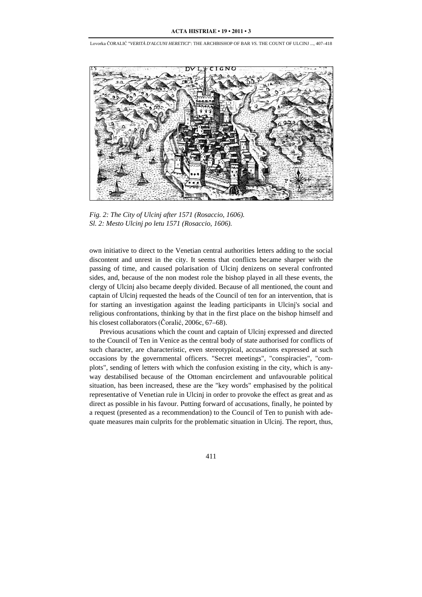

*Fig. 2: The City of Ulcinj after 1571 (Rosaccio, 1606). Sl. 2: Mesto Ulcinj po letu 1571 (Rosaccio, 1606).*

own initiative to direct to the Venetian central authorities letters adding to the social discontent and unrest in the city. It seems that conflicts became sharper with the passing of time, and caused polarisation of Ulcinj denizens on several confronted sides, and, because of the non modest role the bishop played in all these events, the clergy of Ulcinj also became deeply divided. Because of all mentioned, the count and captain of Ulcinj requested the heads of the Council of ten for an intervention, that is for starting an investigation against the leading participants in Ulcinj's social and religious confrontations, thinking by that in the first place on the bishop himself and his closest collaborators (Čoralić, 2006c, 67–68).

Previous acusations which the count and captain of Ulcinj expressed and directed to the Council of Ten in Venice as the central body of state authorised for conflicts of such character, are characteristic, even stereotypical, accusations expressed at such occasions by the governmental officers. "Secret meetings", "conspiracies", "complots", sending of letters with which the confusion existing in the city, which is anyway destabilised because of the Ottoman encirclement and unfavourable political situation, has been increased, these are the "key words" emphasised by the political representative of Venetian rule in Ulcinj in order to provoke the effect as great and as direct as possible in his favour. Putting forward of accusations, finally, he pointed by a request (presented as a recommendation) to the Council of Ten to punish with adequate measures main culprits for the problematic situation in Ulcinj. The report, thus,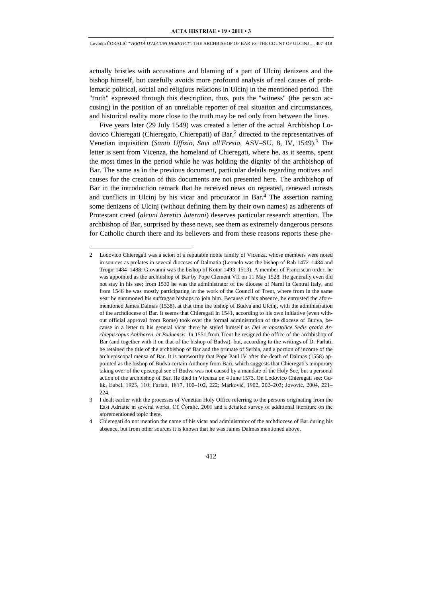actually bristles with accusations and blaming of a part of Ulcinj denizens and the bishop himself, but carefully avoids more profound analysis of real causes of problematic political, social and religious relations in Ulcinj in the mentioned period. The "truth" expressed through this description, thus, puts the "witness" (the person accusing) in the position of an unreliable reporter of real situation and circumstances, and historical reality more close to the truth may be red only from between the lines.

Five years later (29 July 1549) was created a letter of the actual Archbishop Lodovico Chieregati (Chieregato, Chierepati) of Bar,<sup>2</sup> directed to the representatives of Venetian inquisition (*Santo Uffizio, Savi all'Eresia*, ASV–SU, 8, IV, 1549).3 The letter is sent from Vicenza, the homeland of Chieregati, where he, as it seems, spent the most times in the period while he was holding the dignity of the archbishop of Bar. The same as in the previous document, particular details regarding motives and causes for the creation of this documents are not presented here. The archbishop of Bar in the introduction remark that he received news on repeated, renewed unrests and conflicts in Ulcinj by his vicar and procurator in Bar.4 The assertion naming some denizens of Ulcinj (without defining them by their own names) as adherents of Protestant creed (*alcuni heretici luterani*) deserves particular research attention. The archbishop of Bar, surprised by these news, see them as extremely dangerous persons for Catholic church there and its believers and from these reasons reports these phe-

-

<sup>2</sup> Lodovico Chieregati was a scion of a reputable noble family of Vicenza, whose members were noted in sources as prelates in several dioceses of Dalmatia (Leonelo was the bishop of Rab 1472–1484 and Trogir 1484–1488; Giovanni was the bishop of Kotor 1493–1513). A member of Franciscan order, he was appointed as the archbishop of Bar by Pope Clement VII on 11 May 1528. He generally even did not stay in his see; from 1530 he was the administrator of the diocese of Narni in Central Italy, and from 1546 he was mostly participating in the work of the Council of Trent, where from in the same year he summoned his suffragan bishops to join him. Because of his absence, he entrusted the aforementioned James Dalmas (1538), at that time the bishop of Budva and Ulcinj, with the administration of the archdiocese of Bar. It seems that Chieregati in 1541, according to his own initiative (even without official approval from Rome) took over the formal administration of the diocese of Budva, because in a letter to his general vicar there he styled himself as *Dei et apostolice Sedis gratia Archiepiscopus Antibaren. et Buduensis*. In 1551 from Trent he resigned the office of the archbishop of Bar (and together with it on that of the bishop of Budva), but, according to the writings of D. Farlati, he retained the title of the archbishop of Bar and the primate of Serbia, and a portion of income of the archiepiscopal mensa of Bar. It is noteworthy that Pope Paul IV after the death of Dalmas (1558) appointed as the bishop of Budva certain Anthony from Bari, which suggests that Chieregati's temporary taking over of the episcopal see of Budva was not caused by a mandate of the Holy See, but a personal action of the archbishop of Bar. He died in Vicenza on 4 June 1573. On Lodovico Chieregati see: Gulik, Eubel, 1923, 110; Farlati, 1817, 100–102, 222; Marković, 1902, 202–203; Jovović, 2004, 221– 224.

<sup>3</sup> I dealt earlier with the processes of Venetian Holy Office referring to the persons originating from the East Adriatic in several works. Cf. Čoralić, 2001 and a detailed survey of additional literature on the aforementioned topic there.

<sup>4</sup> Chieregati do not mention the name of his vicar and administrator of the archdiocese of Bar during his absence, but from other sources it is known that he was James Dalmas mentioned above.

<sup>412</sup>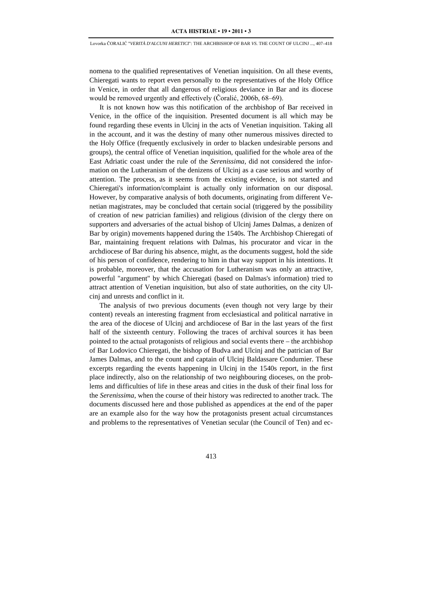nomena to the qualified representatives of Venetian inquisition. On all these events, Chieregati wants to report even personally to the representatives of the Holy Office in Venice, in order that all dangerous of religious deviance in Bar and its diocese would be removed urgently and effectively (Čoralić, 2006b, 68–69).

It is not known how was this notification of the archbishop of Bar received in Venice, in the office of the inquisition. Presented document is all which may be found regarding these events in Ulcinj in the acts of Venetian inquisition. Taking all in the account, and it was the destiny of many other numerous missives directed to the Holy Office (frequently exclusively in order to blacken undesirable persons and groups), the central office of Venetian inquisition, qualified for the whole area of the East Adriatic coast under the rule of the *Serenissima*, did not considered the information on the Lutheranism of the denizens of Ulcinj as a case serious and worthy of attention. The process, as it seems from the existing evidence, is not started and Chieregati's information/complaint is actually only information on our disposal. However, by comparative analysis of both documents, originating from different Venetian magistrates, may be concluded that certain social (triggered by the possibility of creation of new patrician families) and religious (division of the clergy there on supporters and adversaries of the actual bishop of Ulcinj James Dalmas, a denizen of Bar by origin) movements happened during the 1540s. The Archbishop Chieregati of Bar, maintaining frequent relations with Dalmas, his procurator and vicar in the archdiocese of Bar during his absence, might, as the documents suggest, hold the side of his person of confidence, rendering to him in that way support in his intentions. It is probable, moreover, that the accusation for Lutheranism was only an attractive, powerful "argument" by which Chieregati (based on Dalmas's information) tried to attract attention of Venetian inquisition, but also of state authorities, on the city Ulcinj and unrests and conflict in it.

The analysis of two previous documents (even though not very large by their content) reveals an interesting fragment from ecclesiastical and political narrative in the area of the diocese of Ulcinj and archdiocese of Bar in the last years of the first half of the sixteenth century. Following the traces of archival sources it has been pointed to the actual protagonists of religious and social events there – the archbishop of Bar Lodovico Chieregati, the bishop of Budva and Ulcinj and the patrician of Bar James Dalmas, and to the count and captain of Ulcinj Baldassare Condumier. These excerpts regarding the events happening in Ulcinj in the 1540s report, in the first place indirectly, also on the relationship of two neighbouring dioceses, on the problems and difficulties of life in these areas and cities in the dusk of their final loss for the *Serenissima*, when the course of their history was redirected to another track. The documents discussed here and those published as appendices at the end of the paper are an example also for the way how the protagonists present actual circumstances and problems to the representatives of Venetian secular (the Council of Ten) and ec-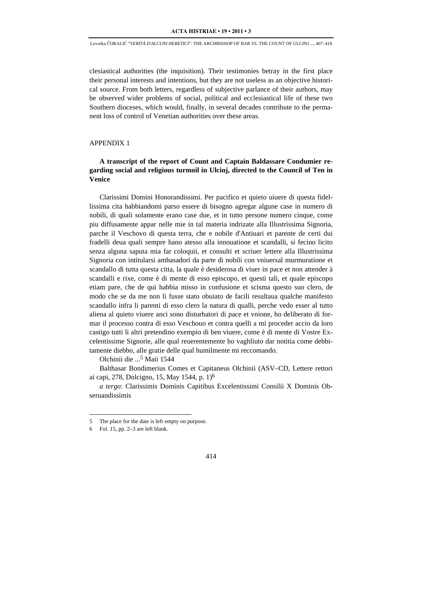clesiastical authorities (the inquisition). Their testimonies betray in the first place their personal interests and intentions, but they are not useless as an objective historical source. From both letters, regardless of subjective parlance of their authors, may be observed wider problems of social, political and ecclesiastical life of these two Southern dioceses, which would, finally, in several decades contribute to the permanent loss of control of Venetian authorities over these areas.

## APPENDIX 1

# **A transcript of the report of Count and Captain Baldassare Condumier regarding social and religious turmoil in Ulcinj, directed to the Council of Ten in Venice**

Clarissimi Domini Honorandissimi. Per pacifico et quieto uiuere di questa fidellissima cita habbiandomi parso essere di bisogno agregar algune case in numero di nobili, di quali solamente erano case due, et in tutto persone numero cinque, come piu diffusamente appar nelle mie in tal materia indrizate alla Illustrissima Signoria, parche il Veschovo di questa terra, che e nobile d'Antiuari et parente de certi dui fradelli deua quali sempre hano atesso alla innouatione et scandalli, si fecino licito senza alguna saputa mia far coloquii, et consulti et scriuer lettere alla Illustrissima Signoria con intitularsi ambasadori da parte di nobili con vniuersal murmuratione et scandallo di tutta questa citta, la quale è desiderosa di viuer in pace et non attender à scandalli e rixe, come è di mente di esso episcopo, et questi tali, et quale episcopo etiam pare, che de qui habbia misso in confusione et scisma questo suo clero, de modo che se da me non li fusse stato obuiato de facili resultaua qualche manifesto scandallo infra li parenti di esso clero la natura di qualli, perche vedo esser al tutto aliena al quieto viuere anci sono disturbatori di pace et vnione, ho deliberato di formar il processo contra di esso Veschouo et contra quelli a mi proceder accio da loro castigo tutti li altri pretendino exempio di ben viuere, come è di mente di Vostre Excelentissime Signorie, alle qual reuerentemente ho vaghliuto dar notitia come debbitamente diebbo, alle gratie delle qual humilmente mi reccomando.

Olchinii die ...5 Maii 1544

Balthasar Bondimerius Comes et Capitaneus Olchinii (ASV–CD, Lettere rettori ai capi, 278, Dolcigno, 15, May 1544, p. 1)6

*a tergo*: Clarissimis Dominis Capitibus Excelentissimi Consilii X Dominis Obseruandissimis

j

<sup>5</sup> The place for the date is left empty on purpose.

<sup>6</sup> Fol. 15, pp. 2–3 are left blank.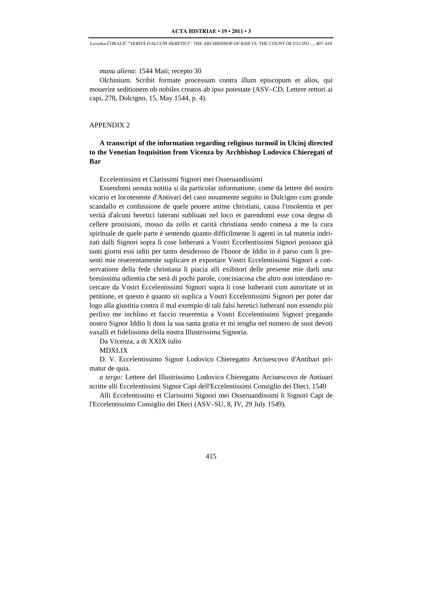*manu aliena*: 1544 Maii; recepto 30

Olchinium. Scribit formate processum contra illum episcopum et alios, qui mouerint seditionem ob nobiles creatos ab ipso potestate (ASV–CD, Lettere rettori ai capi, 278, Dolcigno, 15, May 1544, p. 4).

#### APPENDIX 2

# **A transcript of the information regarding religious turmoil in Ulcinj directed to the Venetian Inquisition from Vicenza by Archbishop Lodovico Chieregati of Bar**

Eccelentissimi et Clarissimi Signori mei Osseruandissimi

Essendomi uenuta notitia si da particolar informatione, come da lettere del nostro vicario et locotenente d'Antivari del caso nouamente seguito in Dulcigno cum grande scandallo et confussione de quele pouere anime christiani, causa l'insolentia et per verità d'alcuni heretici luterani subliuati nel loco et parendomi esse cosa degna di cellere prouisioni, mosso da zello et carità christiana sendo comesa a me la cura spirituale de quele parte è sentendo quanto difficilmente li agenti in tal materia indrizati dalli Signori sopra li cose lutherani a Vostri Eccelentissimi Signori possano già tanti giorni essi uditi per tanto desideroso de l'honor de Iddio in è parso cum li presenti mie reuerentamente suplicare et exportare Vostri Eccelentissimi Signori a conservatione della fede christiana li piacia alli exibitori delle presente mie darli una breuissima udientia che serà di pochi parole, concisiacosa che altro non intendano recercare da Vostri Eccelentissimi Signori sopra li cose lutherani cum autoritate ut in petitione, et questo è quanto sii suplica a Vostri Eccelentissimi Signori per poter dar logo alla giustitia contra il mal exempio di tali falsi heretici lutherani non essendo più perlixo me inchlino et faccio reuerentia a Vostri Eccelentissimi Signori pregando nostro Signor Iddio li doni la sua santa gratia et mi tengha nel numero de suoi devoti vaxalli et fidelissimo della nostra Illustrissima Signoria.

Da Vicenza, a di XXIX iulio

MDXLIX

D. V. Eccelentissimo Signor Lodovico Chieregatto Arciuescovo d'Antibari primatur de quia.

*a tergo:* Lettere del Illustrissimo Lodovico Chieregatto Arciuescovo de Antiuari scritte alli Eccelentissimi Signor Capi dell'Eccelentissimi Consiglio dei Dieci, 1549

Alli Eccelentissimi et Clarissimi Signori mei Osseruandissimi li Signori Capi de l'Eccelentissimo Consiglio dei Dieci (ASV–SU, 8, IV, 29 July 1549).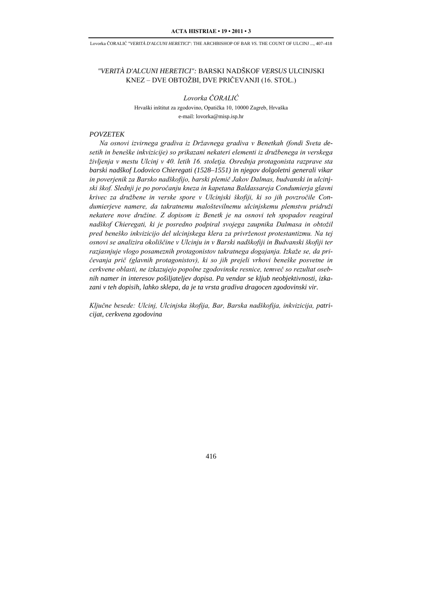# *"VERITÀ D'ALCUNI HERETICI":* BARSKI NADŠKOF *VERSUS* ULCINJSKI KNEZ – DVE OBTOŽBI, DVE PRIČEVANJI (16. STOL.)

*Lovorka ČORALIĆ* Hrvaški inštitut za zgodovino, Opatička 10, 10000 Zagreb, Hrvaška e-mail: lovorka@misp.isp.hr

### *POVZETEK*

*Na osnovi izvirnega gradiva iz Državnega gradiva v Benetkah (fondi Sveta desetih in beneške inkvizicije) so prikazani nekateri elementi iz družbenega in verskega življenja v mestu Ulcinj v 40. letih 16. stoletja. Osrednja protagonista razprave sta barski nadškof Lodovico Chieregati (1528–1551) in njegov dolgoletni generali vikar in poverjenik za Barsko nadškofijo, barski plemič Jakov Dalmas, budvanski in ulcinjski škof. Slednji je po poročanju kneza in kapetana Baldassareja Condumierja glavni krivec za družbene in verske spore v Ulcinjski škofiji, ki so jih povzročile Condumierjeve namere, da takratnemu maloštevilnemu ulcinjskemu plemstvu pridruži nekatere nove družine. Z dopisom iz Benetk je na osnovi teh spopadov reagiral nadškof Chieregati, ki je posredno podpiral svojega zaupnika Dalmasa in obtožil pred beneško inkvizicijo del ulcinjskega klera za privrženost protestantizmu. Na tej osnovi se analizira okoliščine v Ulcinju in v Barski nadškofiji in Budvanski škofiji ter razjasnjuje vlogo posameznih protagonistov takratnega dogajanja. Izkaže se, da pričevanja prič (glavnih protagonistov), ki so jih prejeli vrhovi beneške posvetne in cerkvene oblasti, ne izkazujejo popolne zgodovinske resnice, temveč so rezultat osebnih namer in interesov pošiljateljev dopisa. Pa vendar se kljub neobjektivnosti, izkazani v teh dopisih, lahko sklepa, da je ta vrsta gradiva dragocen zgodovinski vir.*

*Ključne besede: Ulcinj, Ulcinjska škofija, Bar, Barska nadškofija, inkvizicija, patricijat, cerkvena zgodovina*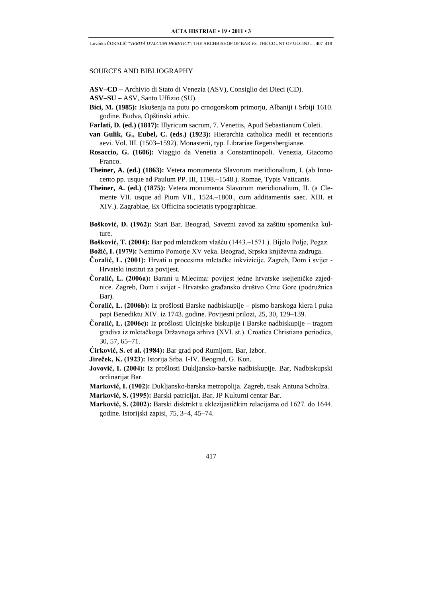### SOURCES AND BIBLIOGRAPHY

**ASV–CD –** Archivio di Stato di Venezia (ASV), Consiglio dei Dieci (CD).

- **ASV–SU –** ASV, Santo Uffizio (SU).
- **Bici, M. (1985):** Iskušenja na putu po crnogorskom primorju, Albaniji i Srbiji 1610. godine. Budva, Opštinski arhiv.
- **Farlati, D. (ed.) (1817):** Illyricum sacrum, 7. Venetiis, Apud Sebastianum Coleti.
- **van Gulik, G., Eubel, C. (eds.) (1923):** Hierarchia catholica medii et recentioris aevi. Vol. III. (1503–1592). Monasterii, typ. Librariae Regensbergianae.
- **Rosaccio, G. (1606):** Viaggio da Venetia a Constantinopoli. Venezia, Giacomo Franco.
- **Theiner, A. (ed.) (1863):** Vetera monumenta Slavorum meridionalium, I. (ab Innocento pp. usque ad Paulum PP. III, 1198.–1548.). Romae, Typis Vaticanis.
- **Theiner, A. (ed.) (1875):** Vetera monumenta Slavorum meridionalium, II. (a Clemente VII. usque ad Pium VII., 1524.–1800., cum additamentis saec. XIII. et XIV.). Zagrabiae, Ex Officina societatis typographicae.
- **Bošković, Đ. (1962):** Stari Bar. Beograd, Savezni zavod za zaštitu spomenika kulture.
- **Bošković, T. (2004):** Bar pod mletačkom vlašću (1443.–1571.). Bijelo Polje, Pegaz.
- **Božić, I. (1979):** Nemirno Pomorje XV veka. Beograd, Srpska književna zadruga.
- **Čoralić, L. (2001):** Hrvati u procesima mletačke inkvizicije. Zagreb, Dom i svijet Hrvatski institut za povijest.
- **Čoralić, L. (2006a):** Barani u Mlecima: povijest jedne hrvatske iseljeničke zajednice. Zagreb, Dom i svijet - Hrvatsko građansko društvo Crne Gore (podružnica Bar).
- **Čoralić, L. (2006b):** Iz prošlosti Barske nadbiskupije pismo barskoga klera i puka papi Benediktu XIV. iz 1743. godine. Povijesni prilozi, 25, 30, 129–139.
- **Čoralić, L. (2006c):** Iz prošlosti Ulcinjske biskupije i Barske nadbiskupije tragom gradiva iz mletačkoga Državnoga arhiva (XVI. st.). Croatica Christiana periodica, 30, 57, 65–71.
- **Ćirković, S. et al. (1984):** Bar grad pod Rumijom. Bar, Izbor.
- **Jireček, K. (1923):** Istorija Srba. I-IV. Beograd, G. Kon.
- **Jovović, I. (2004):** Iz prošlosti Dukljansko-barske nadbiskupije. Bar, Nadbiskupski ordinarijat Bar.
- **Marković, I. (1902):** Dukljansko-barska metropolija. Zagreb, tisak Antuna Scholza.
- **Marković, S. (1995):** Barski patricijat. Bar, JP Kulturni centar Bar.
- **Marković, S. (2002):** Barski disktrikt u eklezijastičkim relacijama od 1627. do 1644. godine. Istorijski zapisi, 75, 3–4, 45–74.